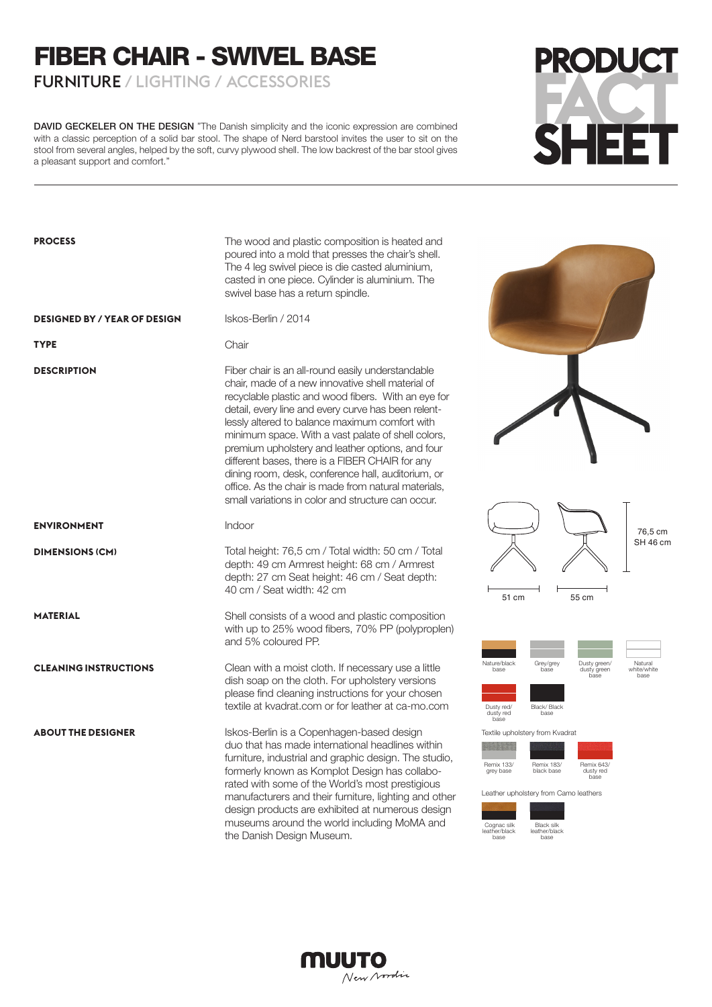## FIBER CHAIR - SWIVEL BASE

FURNITURE / LIGHTING / ACCESSORIES

DAVID GECKELER ON THE DESIGN "The Danish simplicity and the iconic expression are combined with a classic perception of a solid bar stool. The shape of Nerd barstool invites the user to sit on the stool from several angles, helped by the soft, curvy plywood shell. The low backrest of the bar stool gives a pleasant support and comfort."

## **PRODUCT SHEET**

| <b>PROCESS</b>                      | The wood and plastic composition is heated and<br>poured into a mold that presses the chair's shell.<br>The 4 leg swivel piece is die casted aluminium,<br>casted in one piece. Cylinder is aluminium. The<br>swivel base has a return spindle.                                                                                                                                                                                                                                                                                                                                                         |                                                                                                                                                                                                                                                                 |
|-------------------------------------|---------------------------------------------------------------------------------------------------------------------------------------------------------------------------------------------------------------------------------------------------------------------------------------------------------------------------------------------------------------------------------------------------------------------------------------------------------------------------------------------------------------------------------------------------------------------------------------------------------|-----------------------------------------------------------------------------------------------------------------------------------------------------------------------------------------------------------------------------------------------------------------|
| <b>DESIGNED BY / YEAR OF DESIGN</b> | Iskos-Berlin / 2014                                                                                                                                                                                                                                                                                                                                                                                                                                                                                                                                                                                     |                                                                                                                                                                                                                                                                 |
| <b>TYPE</b>                         | Chair                                                                                                                                                                                                                                                                                                                                                                                                                                                                                                                                                                                                   |                                                                                                                                                                                                                                                                 |
| <b>DESCRIPTION</b>                  | Fiber chair is an all-round easily understandable<br>chair, made of a new innovative shell material of<br>recyclable plastic and wood fibers. With an eye for<br>detail, every line and every curve has been relent-<br>lessly altered to balance maximum comfort with<br>minimum space. With a vast palate of shell colors,<br>premium upholstery and leather options, and four<br>different bases, there is a FIBER CHAIR for any<br>dining room, desk, conference hall, auditorium, or<br>office. As the chair is made from natural materials,<br>small variations in color and structure can occur. |                                                                                                                                                                                                                                                                 |
| <b>ENVIRONMENT</b>                  | Indoor                                                                                                                                                                                                                                                                                                                                                                                                                                                                                                                                                                                                  | 76,5 cm                                                                                                                                                                                                                                                         |
| <b>DIMENSIONS (CM)</b>              | Total height: 76,5 cm / Total width: 50 cm / Total<br>depth: 49 cm Armrest height: 68 cm / Armrest<br>depth: 27 cm Seat height: 46 cm / Seat depth:<br>40 cm / Seat width: 42 cm                                                                                                                                                                                                                                                                                                                                                                                                                        | SH 46 cm<br>51 cm<br>55 cm                                                                                                                                                                                                                                      |
| <b>MATERIAL</b>                     | Shell consists of a wood and plastic composition<br>with up to 25% wood fibers, 70% PP (polyproplen)<br>and 5% coloured PP.                                                                                                                                                                                                                                                                                                                                                                                                                                                                             |                                                                                                                                                                                                                                                                 |
| <b>CLEANING INSTRUCTIONS</b>        | Clean with a moist cloth. If necessary use a little<br>dish soap on the cloth. For upholstery versions<br>please find cleaning instructions for your chosen<br>textile at kvadrat.com or for leather at ca-mo.com                                                                                                                                                                                                                                                                                                                                                                                       | Nature/black<br>Natural<br>Grey/grey<br>Dusty green/<br>base<br>base<br>dusty green<br>white/white<br>base<br>base<br>Dusty red/<br>Black/Black<br>dusty red<br>base<br>hase                                                                                    |
| <b>ABOUT THE DESIGNER</b>           | Iskos-Berlin is a Copenhagen-based design<br>duo that has made international headlines within<br>furniture, industrial and graphic design. The studio,<br>formerly known as Komplot Design has collabo-<br>rated with some of the World's most prestigious<br>manufacturers and their furniture, lighting and other<br>design products are exhibited at numerous design<br>museums around the world including MoMA and<br>the Danish Design Museum.                                                                                                                                                     | Textile upholstery from Kvadrat<br><b>Remix 133/</b><br><b>Remix 183/</b><br>Remix 643/<br>black base<br>grey base<br>dusty red<br>base<br>Leather upholstery from Camo leathers<br>Black silk<br>Cognac silk<br>leather/black<br>leather/black<br>base<br>base |